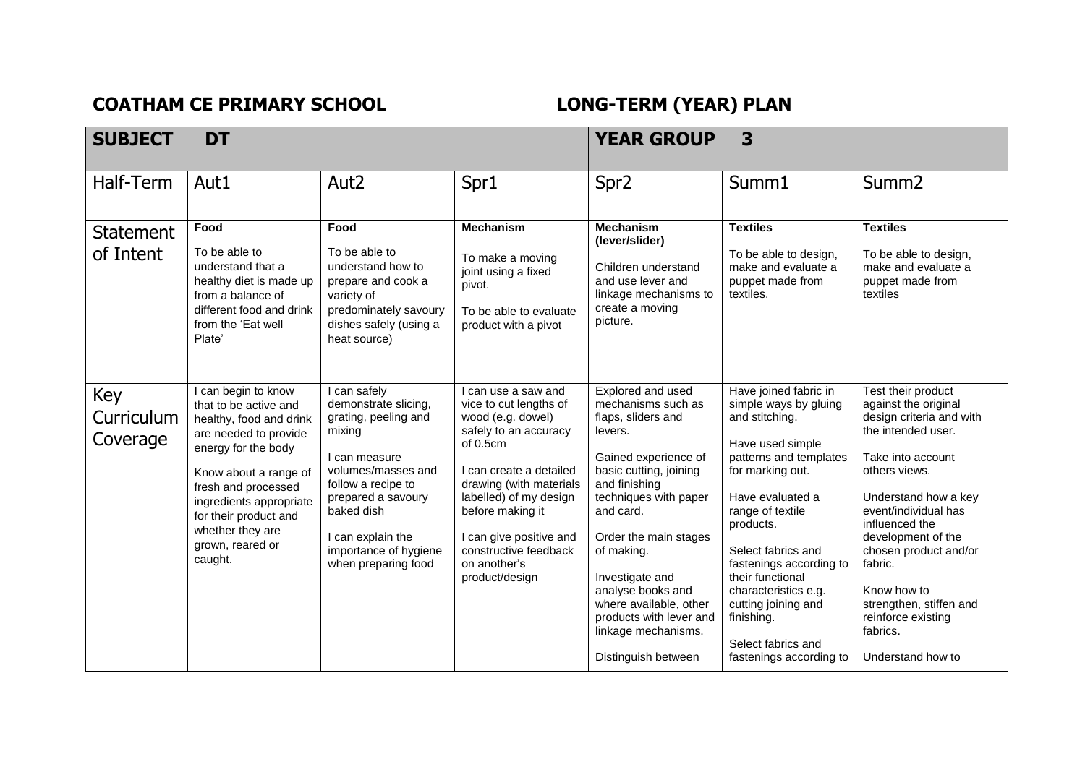**COATHAM CE PRIMARY SCHOOL LONG-TERM (YEAR) PLAN** 

| <b>SUBJECT</b>                | <b>DT</b>                                                                                                                                                                                                                                                                      |                                                                                                                                                                                                                                              | 3<br><b>YEAR GROUP</b>                                                                                                                                                                                                                                                                            |                                                                                                                                                                                                                                                                                                                                                                     |                                                                                                                                                                                                                                                                                                                                                                            |                                                                                                                                                                                                                                                                                                                                                                 |
|-------------------------------|--------------------------------------------------------------------------------------------------------------------------------------------------------------------------------------------------------------------------------------------------------------------------------|----------------------------------------------------------------------------------------------------------------------------------------------------------------------------------------------------------------------------------------------|---------------------------------------------------------------------------------------------------------------------------------------------------------------------------------------------------------------------------------------------------------------------------------------------------|---------------------------------------------------------------------------------------------------------------------------------------------------------------------------------------------------------------------------------------------------------------------------------------------------------------------------------------------------------------------|----------------------------------------------------------------------------------------------------------------------------------------------------------------------------------------------------------------------------------------------------------------------------------------------------------------------------------------------------------------------------|-----------------------------------------------------------------------------------------------------------------------------------------------------------------------------------------------------------------------------------------------------------------------------------------------------------------------------------------------------------------|
| Half-Term                     | Aut1                                                                                                                                                                                                                                                                           | Aut <sub>2</sub>                                                                                                                                                                                                                             | Spr1                                                                                                                                                                                                                                                                                              | Spr <sub>2</sub>                                                                                                                                                                                                                                                                                                                                                    | Summ1                                                                                                                                                                                                                                                                                                                                                                      | Summ <sub>2</sub>                                                                                                                                                                                                                                                                                                                                               |
| <b>Statement</b><br>of Intent | Food<br>To be able to<br>understand that a<br>healthy diet is made up<br>from a balance of<br>different food and drink<br>from the 'Eat well<br>Plate'                                                                                                                         | Food<br>To be able to<br>understand how to<br>prepare and cook a<br>variety of<br>predominately savoury<br>dishes safely (using a<br>heat source)                                                                                            | <b>Mechanism</b><br>To make a moving<br>joint using a fixed<br>pivot.<br>To be able to evaluate<br>product with a pivot                                                                                                                                                                           | <b>Mechanism</b><br>(lever/slider)<br>Children understand<br>and use lever and<br>linkage mechanisms to<br>create a moving<br>picture.                                                                                                                                                                                                                              | <b>Textiles</b><br>To be able to design,<br>make and evaluate a<br>puppet made from<br>textiles.                                                                                                                                                                                                                                                                           | <b>Textiles</b><br>To be able to design,<br>make and evaluate a<br>puppet made from<br>textiles                                                                                                                                                                                                                                                                 |
| Key<br>Curriculum<br>Coverage | I can begin to know<br>that to be active and<br>healthy, food and drink<br>are needed to provide<br>energy for the body<br>Know about a range of<br>fresh and processed<br>ingredients appropriate<br>for their product and<br>whether they are<br>grown, reared or<br>caught. | I can safely<br>demonstrate slicing,<br>grating, peeling and<br>mixing<br>I can measure<br>volumes/masses and<br>follow a recipe to<br>prepared a savoury<br>baked dish<br>I can explain the<br>importance of hygiene<br>when preparing food | I can use a saw and<br>vice to cut lengths of<br>wood (e.g. dowel)<br>safely to an accuracy<br>of 0.5cm<br>I can create a detailed<br>drawing (with materials<br>labelled) of my design<br>before making it<br>I can give positive and<br>constructive feedback<br>on another's<br>product/design | Explored and used<br>mechanisms such as<br>flaps, sliders and<br>levers.<br>Gained experience of<br>basic cutting, joining<br>and finishing<br>techniques with paper<br>and card.<br>Order the main stages<br>of making.<br>Investigate and<br>analyse books and<br>where available, other<br>products with lever and<br>linkage mechanisms.<br>Distinguish between | Have joined fabric in<br>simple ways by gluing<br>and stitching.<br>Have used simple<br>patterns and templates<br>for marking out.<br>Have evaluated a<br>range of textile<br>products.<br>Select fabrics and<br>fastenings according to<br>their functional<br>characteristics e.g.<br>cutting joining and<br>finishing.<br>Select fabrics and<br>fastenings according to | Test their product<br>against the original<br>design criteria and with<br>the intended user.<br>Take into account<br>others views.<br>Understand how a key<br>event/individual has<br>influenced the<br>development of the<br>chosen product and/or<br>fabric.<br>Know how to<br>strengthen, stiffen and<br>reinforce existing<br>fabrics.<br>Understand how to |